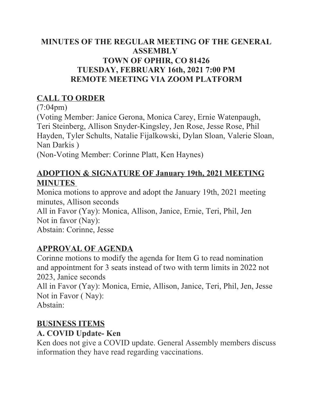#### **MINUTES OF THE REGULAR MEETING OF THE GENERAL ASSEMBLY TOWN OF OPHIR, CO 81426 TUESDAY, FEBRUARY 16th, 2021 7:00 PM REMOTE MEETING VIA ZOOM PLATFORM**

## **CALL TO ORDER**

(7:04pm)

(Voting Member: Janice Gerona, Monica Carey, Ernie Watenpaugh, Teri Steinberg, Allison Snyder-Kingsley, Jen Rose, Jesse Rose, Phil Hayden, Tyler Schults, Natalie Fijalkowski, Dylan Sloan, Valerie Sloan, Nan Darkis )

(Non-Voting Member: Corinne Platt, Ken Haynes)

## **ADOPTION & SIGNATURE OF January 19th, 2021 MEETING MINUTES**

Monica motions to approve and adopt the January 19th, 2021 meeting minutes, Allison seconds

All in Favor (Yay): Monica, Allison, Janice, Ernie, Teri, Phil, Jen Not in favor (Nay):

Abstain: Corinne, Jesse

## **APPROVAL OF AGENDA**

Corinne motions to modify the agenda for Item G to read nomination and appointment for 3 seats instead of two with term limits in 2022 not 2023, Janice seconds

All in Favor (Yay): Monica, Ernie, Allison, Janice, Teri, Phil, Jen, Jesse Not in Favor ( Nay):

Abstain:

## **BUSINESS ITEMS**

### **A. COVID Update- Ken**

Ken does not give a COVID update. General Assembly members discuss information they have read regarding vaccinations.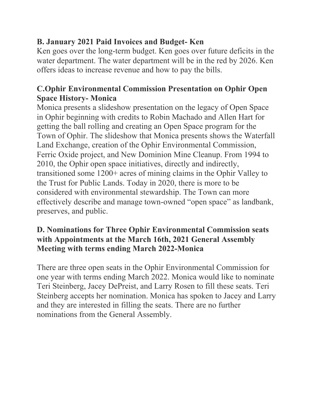## **B. January 2021 Paid Invoices and Budget- Ken**

Ken goes over the long-term budget. Ken goes over future deficits in the water department. The water department will be in the red by 2026. Ken offers ideas to increase revenue and how to pay the bills.

## **C.Ophir Environmental Commission Presentation on Ophir Open Space History- Monica**

Monica presents a slideshow presentation on the legacy of Open Space in Ophir beginning with credits to Robin Machado and Allen Hart for getting the ball rolling and creating an Open Space program for the Town of Ophir. The slideshow that Monica presents shows the Waterfall Land Exchange, creation of the Ophir Environmental Commission, Ferric Oxide project, and New Dominion Mine Cleanup. From 1994 to 2010, the Ophir open space initiatives, directly and indirectly, transitioned some 1200+ acres of mining claims in the Ophir Valley to the Trust for Public Lands. Today in 2020, there is more to be considered with environmental stewardship. The Town can more effectively describe and manage town-owned "open space" as landbank, preserves, and public.

#### **D. Nominations for Three Ophir Environmental Commission seats with Appointments at the March 16th, 2021 General Assembly Meeting with terms ending March 2022-Monica**

There are three open seats in the Ophir Environmental Commission for one year with terms ending March 2022. Monica would like to nominate Teri Steinberg, Jacey DePreist, and Larry Rosen to fill these seats. Teri Steinberg accepts her nomination. Monica has spoken to Jacey and Larry and they are interested in filling the seats. There are no further nominations from the General Assembly.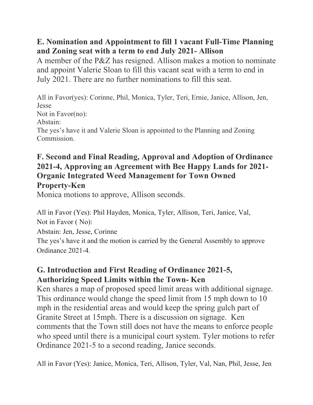#### **E. Nomination and Appointment to fill 1 vacant Full-Time Planning and Zoning seat with a term to end July 2021- Allison**

A member of the P&Z has resigned. Allison makes a motion to nominate and appoint Valerie Sloan to fill this vacant seat with a term to end in July 2021. There are no further nominations to fill this seat.

All in Favor(yes): Corinne, Phil, Monica, Tyler, Teri, Ernie, Janice, Allison, Jen, Jesse Not in Favor(no): Abstain: The yes's have it and Valerie Sloan is appointed to the Planning and Zoning Commission.

#### **F. Second and Final Reading, Approval and Adoption of Ordinance 2021-4, Approving an Agreement with Bee Happy Lands for 2021- Organic Integrated Weed Management for Town Owned Property-Ken**

Monica motions to approve, Allison seconds.

All in Favor (Yes): Phil Hayden, Monica, Tyler, Allison, Teri, Janice, Val, Not in Favor ( No):

Abstain: Jen, Jesse, Corinne

The yes's have it and the motion is carried by the General Assembly to approve Ordinance 2021-4.

### **G. Introduction and First Reading of Ordinance 2021-5, Authorizing Speed Limits within the Town- Ken**

Ken shares a map of proposed speed limit areas with additional signage. This ordinance would change the speed limit from 15 mph down to 10 mph in the residential areas and would keep the spring gulch part of Granite Street at 15mph. There is a discussion on signage. Ken comments that the Town still does not have the means to enforce people who speed until there is a municipal court system. Tyler motions to refer Ordinance 2021-5 to a second reading, Janice seconds.

All in Favor (Yes): Janice, Monica, Teri, Allison, Tyler, Val, Nan, Phil, Jesse, Jen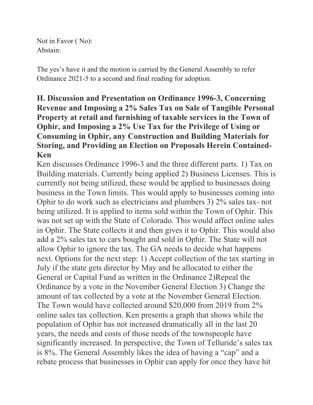Not in Favor ( No): Abstain:

The yes's have it and the motion is carried by the General Assembly to refer Ordinance 2021-5 to a second and final reading for adoption.

#### **H. Discussion and Presentation on Ordinance 1996-3, Concerning Revenue and Imposing a 2% Sales Tax on Sale of Tangible Personal Property at retail and furnishing of taxable services in the Town of Ophir, and Imposing a 2% Use Tax for the Privilege of Using or Consuming in Ophir, any Construction and Building Materials for Storing, and Providing an Election on Proposals Herein Contained-Ken**

Ken discusses Ordinance 1996-3 and the three different parts. 1) Tax on Building materials. Currently being applied 2) Business Licenses. This is currently not being utilized, these would be applied to businesses doing business in the Town limits. This would apply to businesses coming into Ophir to do work such as electricians and plumbers 3) 2% sales tax- not being utilized. It is applied to items sold within the Town of Ophir. This was not set up with the State of Colorado. This would affect online sales in Ophir. The State collects it and then gives it to Ophir. This would also add a 2% sales tax to cars bought and sold in Ophir. The State will not allow Ophir to ignore the tax. The GA needs to decide what happens next. Options for the next step: 1) Accept collection of the tax starting in July if the state gets director by May and be allocated to either the General or Capital Fund as written in the Ordinance 2)Repeal the Ordinance by a vote in the November General Election 3) Change the amount of tax collected by a vote at the November General Election. The Town would have collected around \$20,000 from 2019 from 2% online sales tax collection. Ken presents a graph that shows while the population of Ophir has not increased dramatically all in the last 20 years, the needs and costs of those needs of the townspeople have significantly increased. In perspective, the Town of Telluride's sales tax is 8%. The General Assembly likes the idea of having a "cap" and a rebate process that businesses in Ophir can apply for once they have hit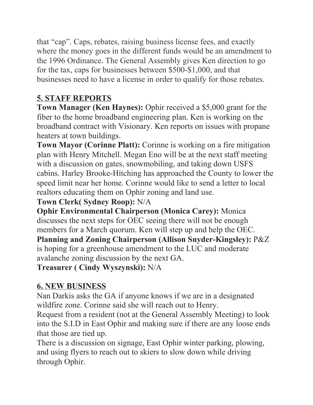that "cap". Caps, rebates, raising business license fees, and exactly where the money goes in the different funds would be an amendment to the 1996 Ordinance. The General Assembly gives Ken direction to go for the tax, caps for businesses between \$500-\$1,000, and that businesses need to have a license in order to qualify for those rebates.

## **5. STAFF REPORTS**

**Town Manager (Ken Haynes):** Ophir received a \$5,000 grant for the fiber to the home broadband engineering plan. Ken is working on the broadband contract with Visionary. Ken reports on issues with propane heaters at town buildings.

**Town Mayor (Corinne Platt):** Corinne is working on a fire mitigation plan with Henry Mitchell. Megan Eno will be at the next staff meeting with a discussion on gates, snowmobiling, and taking down USFS cabins. Harley Brooke-Hitching has approached the County to lower the speed limit near her home. Corinne would like to send a letter to local realtors educating them on Ophir zoning and land use.

## **Town Clerk( Sydney Roop):** N/A

**Ophir Environmental Chairperson (Monica Carey):** Monica discusses the next steps for OEC seeing there will not be enough members for a March quorum. Ken will step up and help the OEC. **Planning and Zoning Chairperson (Allison Snyder-Kingsley):** P&Z

is hoping for a greenhouse amendment to the LUC and moderate avalanche zoning discussion by the next GA.

**Treasurer ( Cindy Wyszynski):** N/A

# **6. NEW BUSINESS**

Nan Darkis asks the GA if anyone knows if we are in a designated wildfire zone. Corinne said she will reach out to Henry.

Request from a resident (not at the General Assembly Meeting) to look into the S.I.D in East Ophir and making sure if there are any loose ends that those are tied up.

There is a discussion on signage, East Ophir winter parking, plowing, and using flyers to reach out to skiers to slow down while driving through Ophir.